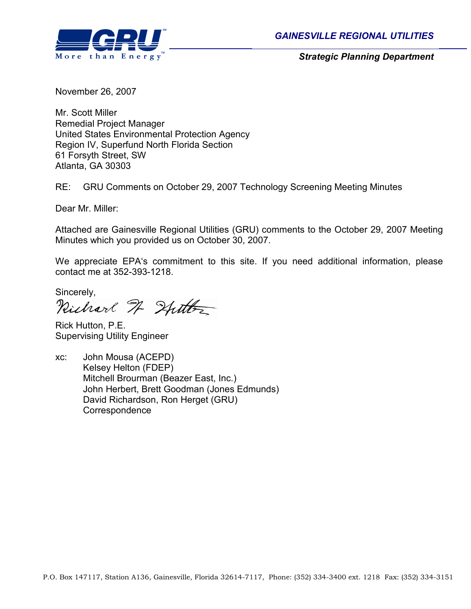



Strategic Planning Department

November 26, 2007

Mr. Scott Miller Remedial Project Manager United States Environmental Protection Agency Region IV, Superfund North Florida Section 61 Forsyth Street, SW Atlanta, GA 30303

RE: GRU Comments on October 29, 2007 Technology Screening Meeting Minutes

Dear Mr. Miller:

Attached are Gainesville Regional Utilities (GRU) comments to the October 29, 2007 Meeting Minutes which you provided us on October 30, 2007.

We appreciate EPA's commitment to this site. If you need additional information, please contact me at 352-393-1218.

Sincerely,<br>Richard H Hutter

Rick Hutton, P.E. Supervising Utility Engineer

xc: John Mousa (ACEPD) Kelsey Helton (FDEP) Mitchell Brourman (Beazer East, Inc.) John Herbert, Brett Goodman (Jones Edmunds) David Richardson, Ron Herget (GRU) **Correspondence**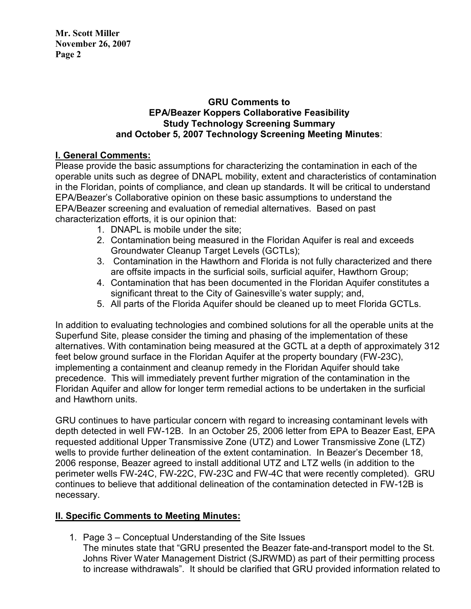#### GRU Comments to EPA/Beazer Koppers Collaborative Feasibility Study Technology Screening Summary and October 5, 2007 Technology Screening Meeting Minutes:

# I. General Comments:

Please provide the basic assumptions for characterizing the contamination in each of the operable units such as degree of DNAPL mobility, extent and characteristics of contamination in the Floridan, points of compliance, and clean up standards. It will be critical to understand EPA/Beazer's Collaborative opinion on these basic assumptions to understand the EPA/Beazer screening and evaluation of remedial alternatives. Based on past characterization efforts, it is our opinion that:

- 1. DNAPL is mobile under the site;
- 2. Contamination being measured in the Floridan Aquifer is real and exceeds Groundwater Cleanup Target Levels (GCTLs);
- 3. Contamination in the Hawthorn and Florida is not fully characterized and there are offsite impacts in the surficial soils, surficial aquifer, Hawthorn Group;
- 4. Contamination that has been documented in the Floridan Aquifer constitutes a significant threat to the City of Gainesville's water supply; and,
- 5. All parts of the Florida Aquifer should be cleaned up to meet Florida GCTLs.

In addition to evaluating technologies and combined solutions for all the operable units at the Superfund Site, please consider the timing and phasing of the implementation of these alternatives. With contamination being measured at the GCTL at a depth of approximately 312 feet below ground surface in the Floridan Aquifer at the property boundary (FW-23C), implementing a containment and cleanup remedy in the Floridan Aquifer should take precedence. This will immediately prevent further migration of the contamination in the Floridan Aquifer and allow for longer term remedial actions to be undertaken in the surficial and Hawthorn units.

GRU continues to have particular concern with regard to increasing contaminant levels with depth detected in well FW-12B. In an October 25, 2006 letter from EPA to Beazer East, EPA requested additional Upper Transmissive Zone (UTZ) and Lower Transmissive Zone (LTZ) wells to provide further delineation of the extent contamination. In Beazer's December 18, 2006 response, Beazer agreed to install additional UTZ and LTZ wells (in addition to the perimeter wells FW-24C, FW-22C, FW-23C and FW-4C that were recently completed). GRU continues to believe that additional delineation of the contamination detected in FW-12B is necessary.

## II. Specific Comments to Meeting Minutes:

1. Page 3 – Conceptual Understanding of the Site Issues The minutes state that "GRU presented the Beazer fate-and-transport model to the St. Johns River Water Management District (SJRWMD) as part of their permitting process to increase withdrawals". It should be clarified that GRU provided information related to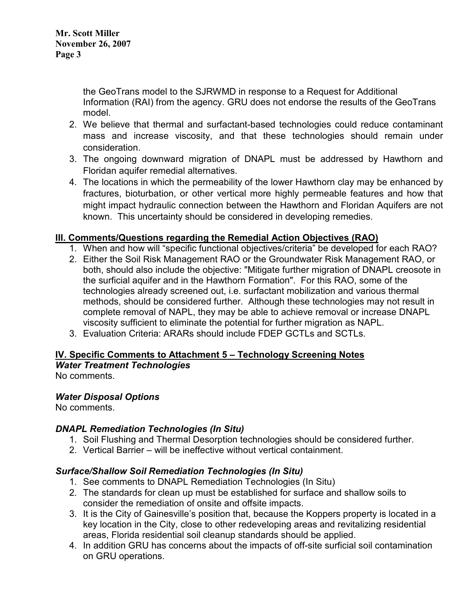the GeoTrans model to the SJRWMD in response to a Request for Additional Information (RAI) from the agency. GRU does not endorse the results of the GeoTrans model.

- 2. We believe that thermal and surfactant-based technologies could reduce contaminant mass and increase viscosity, and that these technologies should remain under consideration.
- 3. The ongoing downward migration of DNAPL must be addressed by Hawthorn and Floridan aquifer remedial alternatives.
- 4. The locations in which the permeability of the lower Hawthorn clay may be enhanced by fractures, bioturbation, or other vertical more highly permeable features and how that might impact hydraulic connection between the Hawthorn and Floridan Aquifers are not known. This uncertainty should be considered in developing remedies.

## III. Comments/Questions regarding the Remedial Action Objectives (RAO)

- 1. When and how will "specific functional objectives/criteria" be developed for each RAO?
- 2. Either the Soil Risk Management RAO or the Groundwater Risk Management RAO, or both, should also include the objective: "Mitigate further migration of DNAPL creosote in the surficial aquifer and in the Hawthorn Formation". For this RAO, some of the technologies already screened out, i.e. surfactant mobilization and various thermal methods, should be considered further. Although these technologies may not result in complete removal of NAPL, they may be able to achieve removal or increase DNAPL viscosity sufficient to eliminate the potential for further migration as NAPL.
- 3. Evaluation Criteria: ARARs should include FDEP GCTLs and SCTLs.

# IV. Specific Comments to Attachment 5 – Technology Screening Notes

Water Treatment Technologies No comments.

## Water Disposal Options

No comments.

## DNAPL Remediation Technologies (In Situ)

- 1. Soil Flushing and Thermal Desorption technologies should be considered further.
- 2. Vertical Barrier will be ineffective without vertical containment.

# Surface/Shallow Soil Remediation Technologies (In Situ)

- 1. See comments to DNAPL Remediation Technologies (In Situ)
- 2. The standards for clean up must be established for surface and shallow soils to consider the remediation of onsite and offsite impacts.
- 3. It is the City of Gainesville's position that, because the Koppers property is located in a key location in the City, close to other redeveloping areas and revitalizing residential areas, Florida residential soil cleanup standards should be applied.
- 4. In addition GRU has concerns about the impacts of off-site surficial soil contamination on GRU operations.